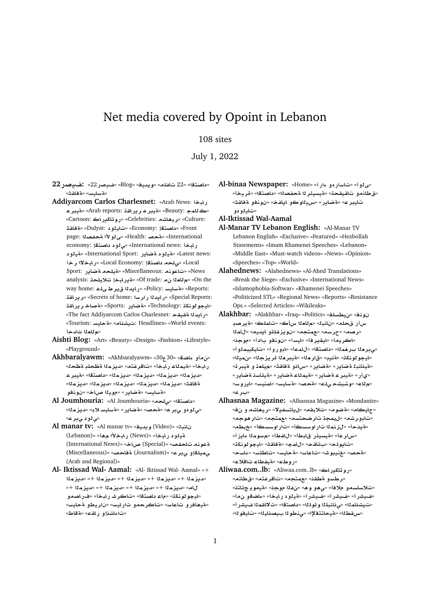# Net media covered by Opoint in Lebanon

## 108 sites

July 1, 2022

- **22C}y:** «22**C}y**» «Blog» «**yd§w**» «**lfA** 22» «**tOA** » «**qAT**» «**FyAFT**»
- **Addiyarcom Carlos Charlesnet:** «Arab News: رابخا **ryT**» «Arab reports: **qAC§r ryT**» «Beauty: **mA**» «Cartoon: **AC§kAwC**» «Celebrities: **KA¡yr**» «Culture: **qAT**» «Dulyat: **¤yA**» «Economy: **tOA** » «Front page: **OfT ±¤Y**» «Health: **}T**» «International economy: **إيخا** International news: «ى لو د داصتقا !!  **¤yT**» «International Sport: **C§ART ¤yT**» «Latest news: **r ¯bAC**» «Local Economy: **tOA l¨**» «Local Sport: **C§ART lyT**» «Miscellaneous: **nwA**» «News analysis: **ly® bAC§T**» «Of trade:  **`A**» «On the way home: **lY Vr§ d§AC**» «Policy: **FyAFT**» «Reports: **qAC§r**» «Secrets of home: **FrC d§AC**» «Special Reports: **qAC§r A}T**» «Sports: **C§ART**» «Technology: **knwwyA**» «The fact Addiyarcom Carlos Charlesnet: «**ب**ايدنا ةقيقد «Tourism: **FyAT**» «**AKy** : Headlines» «World events: «م **للعلا** ثالدجأ
- **Aishti Blog:** «Art» «Beauty» «Design» «Fashion» «Lifestyle» «Playground»
- **Akhbaralyawm:** «Akhbaralyawm» «30<sub>7</sub>30» «ن م أو عاضة رابخأ» «قيملاء رابخأ» «تاقرغتم» «ديزملا قظحلبةظحل» **ryT**» «**tOA** » «**mz§d**» «**mz§d**» «**mz§d**» «**mz§d**» «**mz§d**» «**mz§d**» «**mz§d**» «**mz§d**» «**mz§d**» «**qAT ¤nw** » «**AQ yw**» «**C§ART**» «**FyAFT**»
- **Al Joumhouria:** «Al Joumhouria» «**l¨**» «**tOA** » «*ق لو دو ي بر ع»* «قحصه «قضاير» «قسليسالاب» «ديزملا «*ي* ڻو د يٻر عه
- **Al manar tv:** «Al manar tv» «**yd§w** (Video)» «**bnA**  (Lebanon)» «**¡ ±bAC** (News)» «**bAC ¤yT** (International News)» «**AQ** (Special)» «**}fA nwT** (Miscellaneous)» «**}AT** (Journalism)» «**r¨ ¤lym¨** (Arab and Regional)»
- **Al- Iktissad Wal- Aamal:** «Al- Iktissad Wal- Aamal» «+ **mz§d**» «+ **mz§d**» «+ **mz§d**» «+ **mz§d**» «+ **mz§d**» «+ **mz§d**» «+ **mz§d**» «+ **mz§d**» «+ **mz§d**» «**A** «ايجو لونكڌ» «ماء داصتقا» «تاكر شرر ايخأ» «فر اصمو «هيهافرو تاعاس» «تاكرح*مو* تارايس» «ناريطو ةحايس» «**ت**اءاشذاو راقص» «ةقاط»
- **Al-binaa Newspaper:** «Home» «**Cº ¤ CFA**» «**¤Y**» «ق طلنمو تاقيقحة» «فيسيئر 11 محفصدا» «داصتقا» «قريخاً» «**qAT ¤nw** » «**fA§A ¤wyH**» «**C§ART**» «**ryA** «تاي<sup>ر</sup>و دو
- **Al-Iktissad Wal-Aamal**
- **Al-Manar TV Lebanon English:** «Al-Manar TV Lebanon English» «Exclusive» «Featured» «Hezbollah Statements» «Imam Khamenei Speeches» «Lebanon» «Middle East» «Must-watch videos» «News» «Opinion» «Speeches» «Top» «World»
- **Alahednews:** «Alahednews» «Al-Ahed Translations» «Break the Siege» «Exclusive» «International News» «Islamophobia-Softwar» «Khamenei Speeches» «Politicized STL» «Regional News» «Reports» «Resistance Ops.» «Selected Articles» «Wikileaks»
- **Alakhbar:** «Alakhbar» «Iraq» «Politics» «**lsWy**» «**nw**  سأر قحلم» «نانبل» «م للعلا سıٔڪ» «تاملڪ» «ةير صبـ **mA**» «**yd§A ¤lfz§w** » «**tm**» «**sr**» «**Or**» «اكريما» «ايقير فأ» «ليسآ» «نونفو بادآ» «موجنه «**¤mbykyA**» «**¤C¤A**» «**mA**» «**tOA** » «**mr `r¨**» «ايجو لونكة» «قئيب» «قار مل<sup>»</sup> «قيبر ملا قر يزجلل» «نميلل» «قينانبذ ةضاير» «قضاير» «ساذو ةفاقث» «ميلعة و ميبر ته «ىأر» «مةيبر عام ضاير» «مةيملاء مقصاير» «مقيئاسد مقصاير» «هالت» «وشيشح ىلت» «قحصه «قسايسه «امنيسه «ايروسه «**r** »
- **Alhasnaa Magazine:** «Alhasnaa Magazine» «Mondanite» «جليكام» «**مقضوم» «تلابقم» «ليلتسفيلا» «ريهاش**م و نف» «تابورشه» «ل<sub>ل</sub>يمجة تارضحتسه» «عمتجه» «تار هوجه» «ه يدحا» «لرنم له تار او سسكا» «تار او سسكا» «خبطه» «سار عأ» «قيسيدًر قلبطأ» «للفطأ» «مسومةا ءايزأ» «**knwwyA**» «**qAT**» «**mA**» «**qA¶** » «**lw§A**» «**sAº**» «**FlWA**» «**FyAT**» «**FAA**» «**Jwyn**» «**}T**» «روطء» «**متيضطاء تاقلا**ء»
- **Aliwaa.com..lb:** «Aliwaa.com..lb» «روتاكيراك» «**رطسو مطقن» «مهتجه» «تاقرغته» «قطلنه**» «تلاسلسمو ملافأ» «ي *هو* و ه» «نفذا موجن» «ةيمو يـ جئلتنه «فيشرأ» «فيشرأ» «فيشرأ» «قيلود رابخأ» «ءاضقو ن.مأ» «تيشناملا» «ىنانبللا وتوللله «داصتقا» «تلااقملا غيشراً» «**س قط**لل» «قيحاتتفلال» «ي.نطو للسيصنايلل» «تايفو لله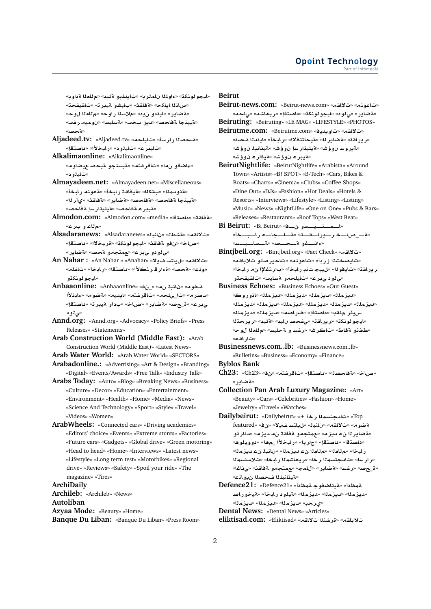«بايجو لونكة» «ءاولملا ناملر به «تايدلبو مقيبه «مالعلا مقباوب» «س\نـ1ا اياكح» «**مةفاقـث» «ب\بشو منيبر ت**» «ت\قيقحـت» «قضاير» «ليندو ن1يه» «ملاسنا راوح» «مللعنا ل0وح» «<mark>Aآيبنجأ ةفاحص» «ديز بحس» «ةسليس» «نوميه رفس</mark>» «**}T**»

**Aljadeed.tv:** «Aljadeed.tv» «**lyA**» «**FrC O**» «**ت**امير ع» «تاملو د» «رامخلأا» «داصتقا»

- **Alkalimaonline:** «Alkalimaonline» «**عاضقو نما» «تاقرغته» «ةيسنجو ةيحصـعيضاوم**» «**تاي**لو د»
- **Almayadeen.net:** «Almayadeen.net» «Miscellaneous» «ه نو مملك» «بتكلك» «هيغا**قث ر ابخاً» «a عو نه ر ابخاً»** «**لقيبذجأ لقاحص» «لقاحص» «لقضاير» «لقائق**» «يأر لله «مقيبر عـ <mark>ة فاحص» «مقيليئار س</mark>ا لقفاحصه
- **Almodon.com:** «Almodon.com» «media» «**tOA** » «**qAT**» «**م'ل**اعاو بارغه
- **Alsadaranews:** «Alsadaranews» «**bnA** » «**WKT**» «**qA¯**» «صاخ» «نفر قفاقث» «ليجو لوغكة» «قريخلاا» «داصتقإ» «**ي لو دو ي بر ع» «عمتجمو ةحص» «ةضاي**ر »
- **An Nahar :** «An Nahar » «Anahar» «**¯§ FtA§**» «**qA¯**» «**lfA**» «**bAC**» «**tOA** » «**±r rº**» «**}T**» «**lw** «ايجو **لونك**ڌو
- **Anbaaonline:** «Anbaaonline» «\_» « **bnA** » «**w ±bAº**» «**wRT**» «**yd§A**» «**tfrA**» «**l¨**\_» «**r}d**» ي.بر ع» «ة\_حصه «äطاير» «صاخه «بدأو aّيبر ته «داصتقإ» «بی **1**و د
- **Annd.org:** «Annd.org» «Advocacy» «Policy Briefs» «Press Releases» «Statements»
- **Arab Construction World (Middle East):** «Arab Construction World (Middle East)» «Latest News»

**Arab Water World:** «Arab Water World» «SECTORS»

**Arabadonline.:** «Advertising» «Art & Design» «Branding» «Digital» «Events/Awards» «Free Talk» «Industry Talk»

**Arabs Today:** «Auto» «Blog» «Breaking News» «Business» «Culture» «Decor» «Education» «Entertainment» «Environment» «Health» «Home» «Media» «News» «Science And Technology» «Sport» «Style» «Travel» «Videos» «Women»

**ArabWheels:** «Connected cars» «Driving academies» «Editors' choice» «Events» «Extreme stunts» «Factories» «Future cars» «Gadgets» «Global drive» «Green motoring» «Head to head» «Home» «Interviews» «Latest news» «Lifestyle» «Long term test» «Motorbikes» «Regional drive» «Reviews» «Safety» «Spoil your ride» «The magazine» «Tires»

**ArchiDaily**

**Archileb:** «Archileb» «News»

**Autoliban**

**Azyaa Mode:** «Beauty» «Home» **Banque Du Liban:** «Banque Du Liban» «Press Room»

#### **Beirut**

- **Beirut-news.com:** «Beirut-news.com» «**qA¯**» «**nwA**» «ه ضاير » «ي لو د» «ايجو لو نكت» «داصتقإ» «ريهاشه» «يلحه»
- **Beiruting:** «Beiruting» «LE MAG» «LIFESTYLE» «PHOTOS» **Beirutme.com:** «Beirutme.com» «**yd§w**» «**qA¯**» «رير اقت» «**قضاير ل**ا» «قيحاتتفلاا» «رابخأ» «ايندلا فصدن» «**لقدر و سـ ن و ؤ شـ» «هيليئار س**ا ن و ؤ شـ» «لقي**ناني**ل ن و ؤ شـ» «**تةيبر ع** نوؤش» «تةي<mark>قار ع</mark> نوؤش»

**BeirutNightlife:** «BeirutNightlife» «Arabista» «Around Town» «Artists» «B! SPOT» «B-Tech» «Cars, Bikes & Boats» «Charts» «Cinema» «Clubs» «Coffee Shops» «Dine Out» «DJs» «Fashion» «Hot Deals» «Hotels & Resorts» «Interviews» «Lifestyle» «Listing» «Listing» «Music» «News» «NightLife» «One on One» «Pubs & Bars» «Releases» «Restaurants» «Roof Tops» «West Beat»

- Bi Beirut: «Bi Beirut» «فالمصدقة يوسو «**فـــ**ماـــخ رـــيراــقـــة» «قــلــجاـــء راــبـــخأ» «**ءانـــفو ةـــحـــص» «**ةـــساـــب
- **Bintjbeil.org:** «Bintjbeil.org» «Fact Check» «**qA¯**» «تايصخشلا زربأ» «تاعونه» «تاحيرصةو تلاباقه» ر ير اقـڌ» «تـايـفو لـا» «ل**ـيـڊجـ تـنـڊ ر ابـخـ**أ» «بـار تـغـلإا ن0مـ ر ابـخـأ» «مى *لو*د مى بر ع» «تايلحمو لة سايس» «تاقيقحةو
- **Business Echoes:** «Business Echoes» «Our Guest» «**لديزمل**ڭ» «لايزمللڭ» «لايزملڭ» «انوروك» «**lmz§d**» «**lmz§d**» «**lmz§d**» «**lmz§d**» «**lmz§d**» «**lmz§d**» «**lmz§d**» «**lmz§d**» «**OAC**» «**tOA** » «**ql C¶yH tr§r**» «**y·T**» «**yA }f¨**» «**qAC§r**» «**knwwyA**» «**طفذو ةقاط» «تاكر شه «رفس** و ةحليسه «م للعلا لوحه «ت**ار اقت**ء»
- **Businessnews.com..lb:** «Businessnews.com..lb» «Bulletins» «Business» «Economy» «Finance»

**Byblos Bank**

- **Ch23:** «Ch23» «» «**tfrA**» «**tOA** » «**OAT**» «**AQ**» «**تضادر** »
- **Collection Pan Arab Luxury Magazine:** «Art» «Beauty» «Cars» «Celebrities» «Fashion» «Home» «Jewelry» «Travel» «Watches»
- **Dailybeirut:** «Dailybeirut» «+ **r mstd**» «Top featured» «» «**¯§ FtA§**» «**bnA** » «**qA¯**» «**wRT** «**¤ضاير 1ا نء ديز م» «عمتجمو ةفلق**ث ن مديز م» «دذار تو «<mark>داصتق</mark>ا» «داصتقإ» «جار بأ» «رابخلأا \_مهاً» «دوويلوه» ر ابخا» «م للعلا» «م للعلا بن عديز ملك» «ناشيلا بن عديز ملك «رارسا» «تادجتسمنا رخا» «ريهاشمنا رابخا» «تلاسلسمنا «**A¨**» «**qAT ¤tm**» «**mA**» «**C§ART**» «**Ffr**» «**}**\_» «**مقينانبل**لا ضحصلا ن0و انك»
- **Defence21:** «Defence21» «**\mT wSA¶yT**» «**\mT }AC¤yT**» «**bAC ¤yT**» «**mz§d**» «**mz§d**» «**mz§d**» «**mz§d**» «**mz§d**» «**mz§d**» «**r©**»
- **Dental News:** «Dental News» «Articles»

**eliktisad.com:** «Eliktisad» «**qA¯ nKr**» «**qA®**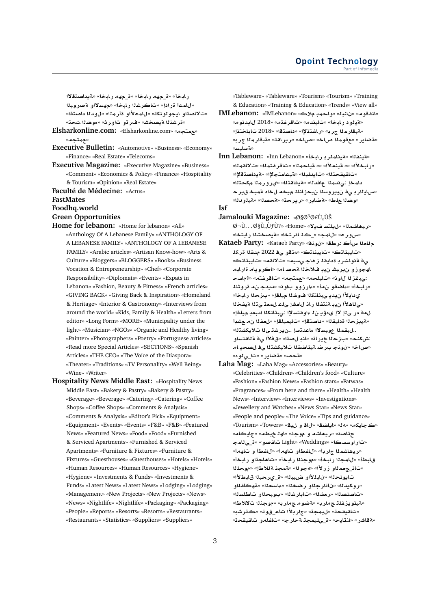رابخأ» «ق\_مهم رابخأ» «ق\_مهم رابخأ» «**قيداصت**قلاا «للمما قرادإ» «تاكرشلا رابخاً» «م*هسلااو* مصروبلا «ت'لااصداو ايجو لونكة» «ل|مملأاو ةأرمل<sup>ا» «</sup>ل1وملا داصتةا» «قرشن**ل**ا ةيصخش» «فررتو تاورث» «ءِوضلا تحته»

- **Elsharkonline.com:** «Elsharkonline.com» «**tm**» «مهتجم»
- **Executive Bulletin:** «Automotive» «Business» «Economy» «Finance» «Real Estate» «Telecoms»
- **Executive Magazine:** «Executive Magazine» «Business» «Comment» «Economics & Policy» «Finance» «Hospitality & Tourism» «Opinion» «Real Estate»
- **Faculté de Médecine:** «Actus»

#### **FastMates**

**Foodhq.world**

#### **Green Opportunities**

- **Home for lebanon:** «Home for lebanon» «All» «Anthology Of A Lebanese Family» «ANTHOLOGY OF A LEBANESE FAMILY» «ANTHOLOGY OF A LEBANESE FAMILY» «Arabic articles» «Artisan Know-how» «Arts & Culture» «Bloggers» «BLOGGERS» «Books» «Business Vocation & Entrepreneurship» «Chef» «Corporate Responsibility» «Diplomats» «Events» «Expats in Lebanon» «Fashion, Beauty & Fitness» «French articles» «GIVING BACK» «Giving Back & Inspiration» «Homeland & Heritage» «Interior & Gastronomy» «Interviews from around the world» «Kids, Family & Health» «Letters from editor» «Long Form» «MORE» «Municipality under the light» «Musician» «NGOs» «Organic and Healthy living» «Painter» «Photographers» «Poetry» «Portuguese articles» «Read more Special Articles» «SECTIONS» «Spanish Articles» «THE CEO» «The Voice of the Diaspora» «Theater» «Traditions» «TV Personality» «Well Being» «Wine» «Writer»
- **Hospitality News Middle East:** «Hospitality News Middle East» «Bakery & Pastry» «Bakery & Pastry» «Beverage» «Beverage» «Catering» «Catering» «Coffee Shops» «Coffee Shops» «Comments & Analysis» «Comments & Analysis» «Editor's Pick» «Equipment» «Equipment» «Events» «Events» «F&B» «F&B» «Featured News» «Featured News» «Food» «Food» «Furnished & Serviced Apartments» «Furnished & Serviced Apartments» «Furniture & Fixtures» «Furniture & Fixtures» «Guesthouses» «Guesthouses» «Hotels» «Hotels» «Human Resources» «Human Resources» «Hygiene» «Hygiene» «Investments & Funds» «Investments & Funds» «Latest News» «Latest News» «Lodging» «Lodging» «Management» «New Projects» «New Projects» «News» «News» «Nightlife» «Nightlife» «Packaging» «Packaging» «People» «Reports» «Resorts» «Resorts» «Restaurants» «Restaurants» «Statistics» «Suppliers» «Suppliers»

«Tableware» «Tableware» «Tourism» «Tourism» «Training & Education» «Training & Education» «Trends» «View all»

- **IMLebanon:** «IMLebanon» «**® mlw**» «**bnA** » «**wfnA**» «**wd§A** 2018» «**tfrA**» «**dyA**» «**bAC ¤yT**» «هَبِقارِ مِنْا جِرِ بِهِ «رِ اشتِنْلاً» «**داصت**قا» «2018 تاباختزاٍ» «**r mrbT**» «**qAC§r**» «**AQ**» «**AQ mw**» «**C§ART**» «**بة ساءس**»
- **Inn Lebanon:** «Inn Lebanon» «آينفلا» «تقيناملر بـ رابخا» «**mqA¯**» «**mtfrA**» «**mlyT** »» «**±nyT** »» «**±bAC**» «تاقيقحتلا» «تايدلبل<sup>»</sup> «قيمامتجلاٍ!» «ةيداصتقلاٍ!» دامخإ :يندملا عافدلل<sup>» «</sup>قيفاقثلا» «ي(ورملا مكحتلل» «ساي**ن**ار ب*ي فن ي*يروسنا نيحز انلنا ميخه ل*لخ*اد ةميخ قير ح «وضلا علط» «ةضاير» «ريرحة» «ةحصلل» «ةيلودلله»

**Isf**

- Jamalouki Magazine: «Ø§Ø<sup>3</sup>ألÙŠ Ø¬Ù. . . الكÙ?» «Home» «**¯§ FtA§**» «**mKA¡yr**» «س و ر ع» «لامج» « كذ انر تخا» «**متصخش**نا ر ابتخا»
- **Kataeb Party:** «Kataeb Party» «**nw** » «**Wr**: **-x `A** «تايبئلتك» «تايبئلتك» «متقو<sub>ع</sub> فـ 2022 مدقلا قر كلا ى<mark>فقانولشربة دايقا زهاج ىسيم» «تلااقم» «تايبئاتك»</mark> لهجوز و نيريش*نيد فلاخذا ةحص*له» «اكرويام ةارلبه **sA?**» «**tfrA**» «**tm**» «**lyA**» «**w zb¨**: «رﺎﺑﺨﺃ» «ﻋﺎﺿﻘﻮ ﻥﻣi» «ﻋﺎﺭﺯﻭﻭ ﺑﺎﻭﻧ» «ﺪﻳﺪﺟ ﻥﻣ ﻗﺮﻭﺷﻠﻠ ي**دايلأا ن**يديـي.ئاتكلا فـوشلا ميلقإ» «بـزحلا ر.ابـخأ» «م*الملأا ن:يد منتفذا ر*اذ للعشإ ملك لمعة متذا ميفخذا ل**ع**هْ در ي<sup>1</sup>إ لاإ ي دؤي ن1 ءاوقتسلاًا :يبئاتكذا السعد ميلقإ» «<mark>A يبز ح</mark>لا ةدايقلا» «داصتقإ» «تايميلقإ» «لعفلا نα عشبأ ..لبقم**دا عوبسلاا ءاعدتسإ ..نيرش**ة ىil تلايكشتنا» :شكذح» «بـزحـلـ غـير اته «لنـبـ لـصـتـا» «ق1فـل<sup>فـ</sup> قـ 2 قـاقـتـسـاو «صاخ» «نونج بـر ضـ ةيئاضقـلا تـلايكشتـلا ي**فـلصح**يـامـ «**¤حص» «¤ضاير» «ت<sub>اح</sub>ى** لود»
- **Laha Mag:** «Laha Mag» «Accessories» «Beauty» «Celebrities» «Children» «Children's food» «Culture» «Fashion» «Fashion News» «Fashion stars» «Fatwas» «Fragrances» «From here and there» «Health» «Health News» «Interview» «Interviews» «Investigations» «Jewellery and Watches» «News Star» «News Star» «People and people» «The Voice» «Tips and guidance» «Tourism» «Towers» «**y ¤ A**» «**SA§A**» «**¢**» «**kyA**» «**AyA**» «**Wb hA**» «**w ¤ KA¡yr**» «**OA¶ mA¨**\_» «**¤}fA** Light» «Weddings» «**sswC**» «ريهاشم**دا جاربأ» «للفطأو تلهمأ» «للفطأ و تلهم**أ» قابطأ» «للمجلا رابخأ» «موجنلا رابخأ» «تاهاجتاو رابخأ» «تان\_جعمـلـاو زرلاًا» «4جولله «قمجنـةللاطإ» «موحلـلـا «**±VbA br©**\_» «**by{ ¤±bA** » «**lw§A** «روكيدك» «نا<mark>تارجلاو رضخل</mark>ا» «ءاسحلل» «ةهكافلاو «تاصلصنا» «ر مشنا» «تابار شنا» «بو بحناو تاطلسنا» «قينويزغلة جماريه «**ةضوم جماري» «موجن**لا تلالاطا» «**Kr**» «**w**\_**A ±r**» «**my**» «**qyqA**» «مة قاشر» «انتايح» «ق<sub>س</sub>ليمجة متحارج» «تاغلمو بتاقيقحة»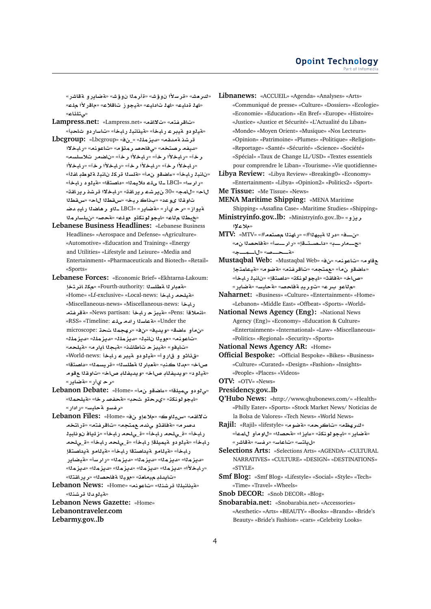«كىر مش» «قر سلاًا نوؤش» «ةأر مل**ا نوؤش» «4ضايرو لققاشر»** «لها قدليت» «لها تادليت» «قيجوز تاقلاع» «ماقرالأا ملت» «مى تل**ئا**ع»

- **Lampress.net:** «Lampress.net» «**qA¯**» «**tfrA**» «هي**نو دو هيدر عار لبخأ» «هينانبن** رابخأ» «تاسار دو شاحدأ»
- **Lbcgroup:** «Lbcgroup» «\_» «**lmz§d**» «**qdT Kr** «ديفه رصتخه» «ي فاحصر متؤم» «تاعونه» «رايخلاا «**sls® CSA** » «**r ±bAC**» «**r ±bAC**» «**r** «رلمبخلأا رخآ» «رلمبخلأا رخآ» «رلمبخلأا رخآ» «رلمبخلأا «نانبذ رابخأ» «ءاضقو ن0أ» «ةلسنا قركذ نانبذ ةنوطب افنأ» «رارسا» «LBCI ـنا ىله دلايمنا» «داصتقا» «قينود رابخاً» «**qAC§r Kr ¯bAC**» «**qAC§r Kr§** 30» «**mA**» «**A** تاوقـلا ىوعد» «بـذاكـربـخ» «س*لق*طـلا لاح» «س*لق*طـلا **Rd yAC SA¡r ¤þ** LBCI» «**C§ART**» «**C© r**» «**E¤§T** «خبطلا ملاع» «ايجو لونكتو مولك» «قحصه «نيلسارملا
- **Lebanese Business Headlines:** «Lebanese Business Headlines» «Aerospace and Defense» «Agriculture» «Automotive» «Education and Training» «Energy and Utilities» «Lifestyle and Leisure» «Media and Entertainment» «Pharmaceuticals and Biotech» «Retail» «Sports»
- **Lebanese Forces:** «Economic Brief» «Ekhtarna-Lakoum: «قعدار لا قطلسلا) :Fourth-authority» «جمكل انر تخا «Home» «Lf-exclusive» «Local-news: مةيلحه رابخا «Miscellaneous-news» «Miscellaneous-news: **bAC** «الملاقأ :Pens» «مقي**يز حريليخا :News partisan» «مقرضته** «RSS» «Timeline: **lY dC sAT**» «Under the microscope:  **mhr**» «» «**yd§w**» «**SAº ¤**» «**lmz§d**» «**lmz§d**» «**lmz§d**» «**bnA yw**» «**nwA**» «تايفو» «قيبز حـ تاطاشن» «قبجلا ايار مه «قيلحم» «قاثو و قاروأ» «هيدودو ميبرع رابخا :World-news» صاخ» «مدنا كذب» «هقبار نا مطلسنا» «قريسمنا» «داصتقا» **w qw**» «**AQ Afyd§w**» «**AQ Afyd§w**» « **¤yT**» «**رح ی**أر» «**تضایر»**
- **Lebanon Debate:** «Home» « **¤SAº**» «**lym¨ ¤ ¤¨**» «ايجو لونكة» «يرحقو شحب» «**متحضصر خل» «متيلحم**لل» «**رغسو ةحليس» «رادار»**
- **Lebanon Files:** «Home» « **¤®**» «**wyH**» «**qA¯ tAC**» «**tfrA**» «**tm d¨ ¤qAT**» «**r}d** رابخأ» «ق\_ىلحه رابخأ» «ق\_ىلحه رابخأ» «زلياف نونابيذ ر ابخأ» «قيلو دو قيميلةإ رابخأ» «ق\_ىلحه رابخأ» «ق\_ىلحه رابخأ» «فيلامو فيداصتقا رابخأ» «فيلامو فيداصتقإ **C§ARyT**» «**FrC**» «**mz§d**» «**mz§d**» «**mz§d**» «**mz§d**» «**mz§d**» «**mz§d**» «**mz§d**» «**mz§d**» «**mz§d**» «**±bAC**» «تايدلدِ ميمل**د**ت» «مويدًا ةفلحصدًا» «رير اشتلاا»

**Lebanon News:** «Home» «**nwA**» «**nKr lbnAyT**» «**مقيلو دل**ا قرشنلا»

**Lebanon News Gazette:** «Home» **Lebanontraveler.com Lebarmy.gov..lb**

**Libnanews:** «ACCUEIL» «Agenda» «Analyses» «Arts» «Communiqué de presse» «Culture» «Dossiers» «Ecologie» «Economie» «Education» «En Bref» «Europe» «Histoire» «Justice» «Justice et Sécurité» «L'Actualité du Liban» «Monde» «Moyen Orient» «Musique» «Nos Lecteurs» «Opinion» «Patrimoine» «Plumes» «Politique» «Religion» «Reportage» «Santé» «Sécurité» «Science» «Société» «Spécial» «Taux de Change LL/USD» «Textes essentiels pour comprendre le Liban» «Tourisme» «Vie quotidienne»

**Libya Review:** «Libya Review» «Breaking0» «Economy» «Entertainment» «Libya» «Opinion2» «Politics2» «Sport» **Me Tissue:** «Me Tissue» «News»

- 
- **MENA Maritime Shipping:** «MENA Maritime Shipping» «Assafina Case» «Maritime Studies» «Shipping» **Ministryinfo.gov..lb:** «Ministryinfo.gov..lb» «
- **³®**»  $MTV:$  « $\text{MTV}$ » « $\#$ ن—ف» «در لا  $\text{F}$ » «راهذلا مصتعم#» « $\text{MTV}$
- «ح\_مار\_ب» «داحستقاٍ» «رار\_سه» «<mark>هفاحصدا ن.»</mark> «**به الله الله «من الله عنه»** «مع الله عنه» »
- **Mustaqbal Web:** «Mustaqbal Web» «» «**nwA**» «**w tmAyT**» «**wRT**» «**tfrA**» «**tm**» « **¤SAº**» «صاخ» «مقاقت» «ليجو لونكة» «داصتقإ» «نانبذ رابخأ» «ه للعو بـر ع» «توريدٍ ةفلحصه «ةحليسه «ةضلير»
- **Naharnet:** «Business» «Culture» «Entertainment» «Home» «Lebanon» «Middle East» «Offbeat» «Sports» «World»
- **National News Agency (Eng):** «National News Agency (Eng)» «Economy» «Education & Culture» «Entertainment» «International» «Law» «Miscellaneous» «Politics» «Regional» «Security» «Sports»

**National News Agency AR:** «Home»

**Official Bespoke:** «Official Bespoke» «Bikes» «Business» «Culture» «Curated» «Design» «Fashion» «Insights» «People» «Places» «Videos»

- **OTV:** «OTV» «News»
- **Presidency.gov..lb**
- **Q'Hubo News:** «http://www.qhubonews.com/» «Health» «Philly Eater» «Sports» «Stock Market News/ Noticias de la Bolsa de Valores» «Tech News» «World News»
- **Rajil:** «Rajil» «lifestyle» «**wRT**» «**rA**» «**\hr**» «مقضاير» «ليجو لونكة» «عايزا» «مقحصله» «لاو مأو اللمعا» «ل**Lah**» «تناعاسه «رفسه «مةقاشر»

**Selections Arts:** «Selections Arts» «AGENDA» «CULTURAL NARRATIVES» «CULTURE» «DESIGN» «DESTINATIONS» «STYLE»

**Smf Blog:** «Smf Blog» «Lifestyle» «Social» «Style» «Tech» «Time» «Travel» «Wheels»

**Snob DECOR:** «Snob DECOR» «Blog»

**Snobarabia.net:** «Snobarabia.net» «Accessories» «Aesthetic» «Arts» «BEAUTY» «Books» «Brands» «Bride's Beauty» «Bride's Fashion» «cars» «Celebrity Looks»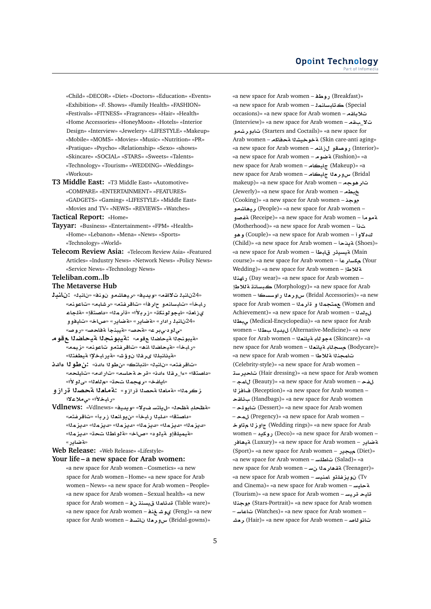«Child» «DECOR» «Diet» «Doctors» «Education» «Events» «Exhibition» «F. Shows» «Family Health» «FASHION» «Festivals» «FITNESS» «Fragrances» «Hair» «Health» «Home Accessories» «HoneyMoon» «Hotels» «Interior Design» «Interview» «Jewelery» «LIFESTYLE» «Makeup» «Mobile» «MOMS» «Movies» «Music» «Nutrition» «PR» «Pratique» «Psycho» «Relationship» «Sexo» «shows» «Skincare» «SOCIAL» «STARS» «Sweets» «Talents» «Technology» «Tourism» «WEDDING» «Weddings» «Workout»

**T3 Middle East:** «T3 Middle East» «Automotive» «COMPARE» «ENTERTAINMENT» «FEATURES» «GADGETS» «Gaming» «LIFESTYLE» «Middle East» «Movies and TV» «NEWS» «REVIEWS» «Watches»

**Tactical Report:** «Home»

- **Tayyar:** «Business» «Entertainment» «FPM» «Health» «Home» «Lebanon» «Mena» «News» «Sports» «Technology» «World»
- **Telecom Review Asia:** «Telecom Review Asia» «Featured Articles» «Industry News» «Network News» «Policy News» «Service News» «Technology News»

#### **Teleliban.com..lb**

### **The Metaverse Hub**

- **bnA :** «**bnA** » «**nw ¤KA¡yr**» «**yd§w**» «**qA¯ bnA** 24» رابخأ» «تابسانمو حارفأ» «تاقرفتم» «رشابه» «تاعونه» ىزا**م**ت» «ايجو لونكة» «زر بـلأا» «ةأر مـلا» «داصتقإ» «ةلجاع **¤¤yA**» «**AQ**» «**C§ART**» «**C§ART**» «**C C bnA** 24» «**ي لو د-ي بر ع» «ةحصه «ةيبنجأ ةفلحصه «روصه**
- «مقيبونجلا مقيحاضلا عقوم» **:ةيبونجلا اقيحاضلا ع قوم** «رابخأ» «<mark>قيحاضلاا ان</mark>ث» «تاقرغتمو تاعونم» «زيمم» «**لقينانبل**لا يرغلا نوؤش» «قير ابخلاا قيطغتلا
- «تاقر فتم» «نانبك «لنباتك» «ن طو لـا ءادن». **:ن طو لـ**ا عا**دن** «داصتقا» «ما رقلا ءادن» «قرحةحاسه» «تارادم» «تايلحه» «ايافخ» «رهجم**ن**ا تحق» «مللعنا» «ي لو لأا»
- زكرمنا» «ةمامنا ةحصنا قرازو» :<mark>4مامنا ةحصنا قرازو</mark> **¯®¨**» «**±bAC**»
- **Vdlnews:** «Vdlnews» «**yd§w**» «**¯§ FtA§**» «**\T l\T**» «داصتقا» «دلبال رابخأ» «ن دو انعال ز ر دأ» «تاقر **فته**» «**mz§d**» «**mz§d**» «**mz§d**» «**mz§d**» «**mz§d**» «**mz§d**» «**¤يميل**قإو ¤يلود» «صاخ» «¤لواطلا تحت» «ديزملا» «**تة ضادر** »

**Web Release:** «Web Release» «Lifestyle»

#### **Your life – a new space for Arab women:**

«a new space for Arab women – Cosmetics» «a new space for Arab women – Home» «a new space for Arab women – News» «a new space for Arab women – People» «a new space for Arab women – Sexual health» «a new space for Arab women – قدئلم<sup>و</sup> (Table ware)» «a new space for Arab women – **n Jw©** (Feng)» «a new space for Arab women – س و د هلا ناتسد = space for Arab women

«a new space for Arab women – روطف $($ Breakfast)» «a new space for Arab women – **mnAFbA** (Special occasions)» «a new space for Arab women – **qA®** (Interview)» «a new space for Arab women – **q** \_**¯ ¤Kr¤A** (Starters and Coctails)» «a new space for Arab women – **kAT KywT** (Skin care-anti aging» «a new space for Arab women – **مصقول: انه** – a rew space for Arab women «a new space for Arab women – **wRT** (Fashion)» «a new space for Arab women – **AyA** (Makeup)» «a new space for Arab women – سورهذا جليكام makeup)» «a new space for Arab women – **w¡r** (Jewerly)» «a new space for Arab women – **Wb** (Cooking)» «a new space for Arab women – **w ¤KA¡yr** (People)» «a new space for Arab women – **¤مو م**أ – Receipe)» «a new space for Arab women) **تفص**و (Motherhood)» «a new space for Arab women –  **ت دلاو i** – Couple)» «a new space for Arab women) **و ه**و (Child)» «a new space for Arab women – **@§T** (Shoes)» «a new space for Arab women – **VbA C¶ysyT** (Main course)» «a new space for Arab women – محمدار عا Wedding)» «a new space for Arab women - **تلاط**! **nhAC** (Day wear)» «a new space for Arab women – **V®T nAFb** (Morphology)» «a new space for Arab women – **sswC `r¤x** (Bridal Accessories)» «a new space for Arab women – **mr ¤ mtm** (Women and Achievement)» «a new space for Arab women – **dy Wb¨** (Medical-Encyclopedia)» «a new space for Arab women – **W bd§** (Alternative-Medicine)» «a new space for Arab women – **`nA§T Aw¢** (Skincare)» «a new space for Arab women – مسحلاء ةبانعلا $\bullet$  (Bodycare)» «a new space for Arab women – **V®T nmA** (Celebrity-style)» «a new space for Arab women – **sr§A** (Hair dressing)» «a new space for Arab women – **mA** (Beauty)» «a new space for Arab women – **f zA** (Reception)» «a new space for Arab women – **qA¶**  (Handbags)» «a new space for Arab women – **lw§A** (Dessert)» «a new space for Arab women – **m** (Pregency)» «a new space for Arab women – **w z¤** (Wedding rings)» «a new space for Arab women – **§kwC** (Deco)» «a new space for Arab women – **CA¡yT** (Luxury)» «a new space for Arab women – **C§ART** (Sport)» «a new space for Arab women – **C§y** (Diet)» «a new space for Arab women – **FlWA** (Salad)» «a new space for Arab women – **تقدار مذا ن**ست «a new space for Arab women – **FynmA ¤lfz§w**  (Tv and Cinema)» «a new space for Arab women – **تحايس**ه (Tourism)» «a new space for Arab women – **Fyr yA nw** (Stars-Portrait)» «a new space for Arab women – **FAA** (Watches)» «a new space for Arab women – **تانه لاص** – Hair)» «a new space for Arab women) **، م**شر